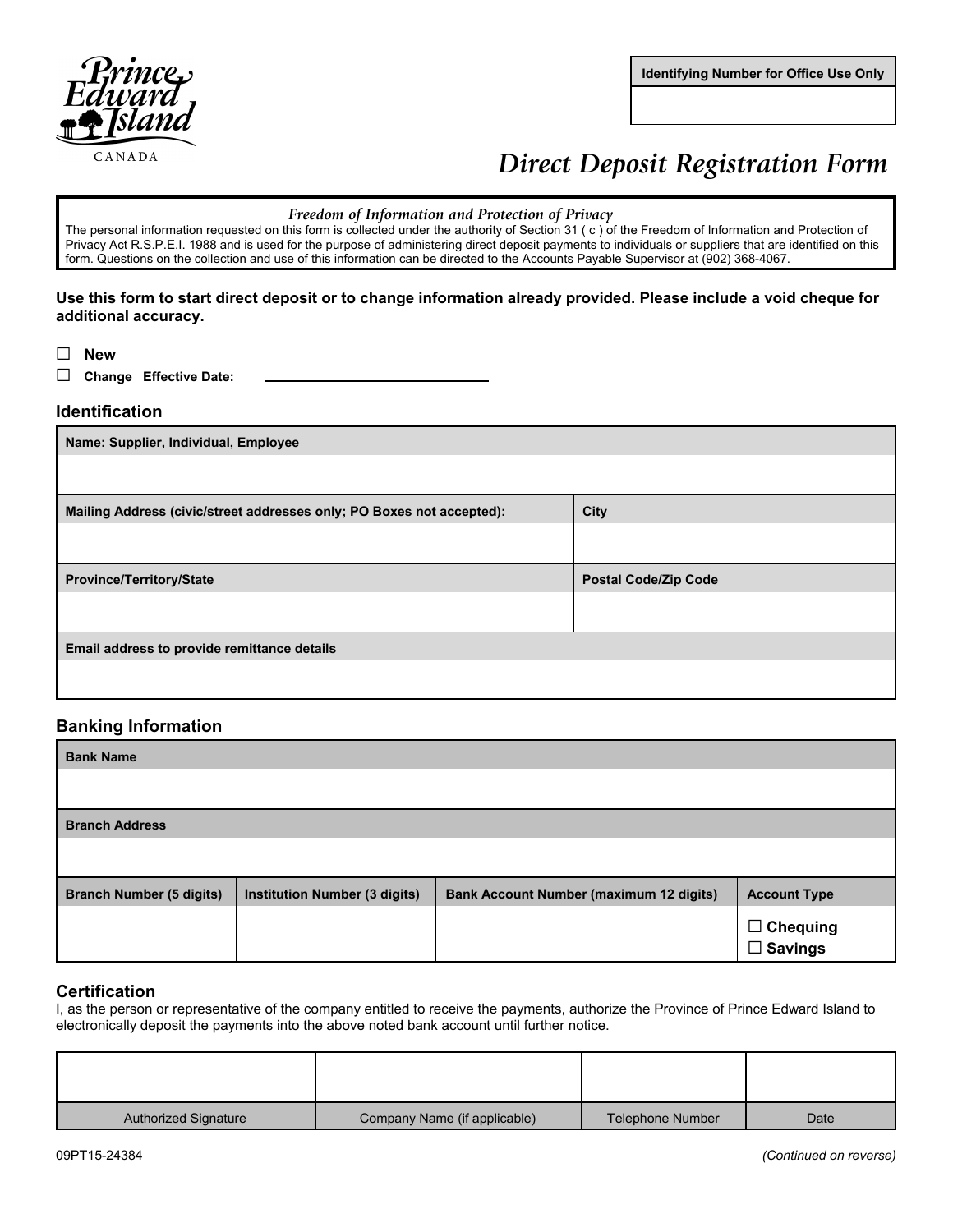

**Identifying Number for Office Use Only**

# **Direct Deposit Registration Form**

#### Freedom of Information and Protection of Privacy

The personal information requested on this form is collected under the authority of Section 31 (c) of the Freedom of Information and Protection of Privacy Act R.S.P.E.I. 1988 and is used for the purpose of administering direct deposit payments to individuals or suppliers that are identified on this form. Questions on the collection and use of this information can be directed to the Accounts Payable Supervisor at (902) 368-4067.

### **Use this form to start direct deposit or to change information already provided. Please include a void cheque for additional accuracy.**

G **New**

□ Change Effective Date:

### **Identification**

| Name: Supplier, Individual, Employee                                  |                             |  |
|-----------------------------------------------------------------------|-----------------------------|--|
|                                                                       |                             |  |
| Mailing Address (civic/street addresses only; PO Boxes not accepted): | City                        |  |
|                                                                       |                             |  |
| <b>Province/Territory/State</b>                                       | <b>Postal Code/Zip Code</b> |  |
|                                                                       |                             |  |
| Email address to provide remittance details                           |                             |  |
|                                                                       |                             |  |

## **Banking Information**

| <b>Bank Name</b>                |                                      |                                                |                         |
|---------------------------------|--------------------------------------|------------------------------------------------|-------------------------|
|                                 |                                      |                                                |                         |
| <b>Branch Address</b>           |                                      |                                                |                         |
|                                 |                                      |                                                |                         |
| <b>Branch Number (5 digits)</b> | <b>Institution Number (3 digits)</b> | <b>Bank Account Number (maximum 12 digits)</b> | <b>Account Type</b>     |
|                                 |                                      |                                                | □ Chequing<br>□ Savings |

## **Certification**

I, as the person or representative of the company entitled to receive the payments, authorize the Province of Prince Edward Island to electronically deposit the payments into the above noted bank account until further notice.

| <b>Authorized Signature</b> | Company Name (if applicable) | Telephone Number | Date |
|-----------------------------|------------------------------|------------------|------|